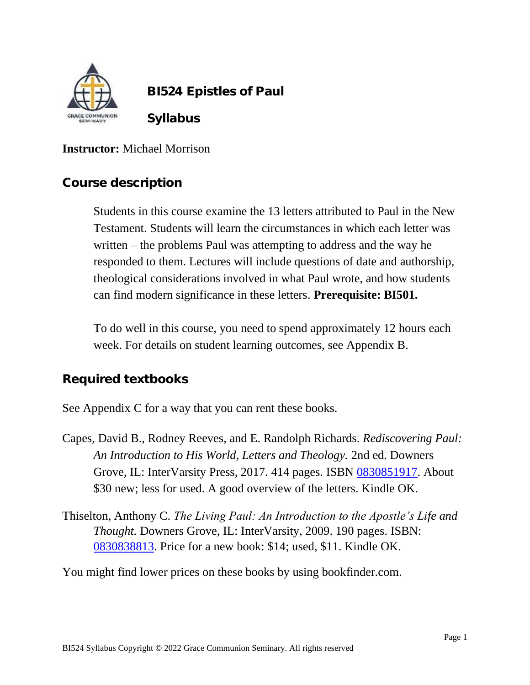

 **BI524 Epistles of Paul**

 **Syllabus**

### **Instructor:** Michael Morrison

### **Course description**

Students in this course examine the 13 letters attributed to Paul in the New Testament. Students will learn the circumstances in which each letter was written – the problems Paul was attempting to address and the way he responded to them. Lectures will include questions of date and authorship, theological considerations involved in what Paul wrote, and how students can find modern significance in these letters. **Prerequisite: BI501.**

To do well in this course, you need to spend approximately 12 hours each week. For details on student learning outcomes, see Appendix B.

## **Required textbooks**

See Appendix C for a way that you can rent these books.

- Capes, David B., Rodney Reeves, and E. Randolph Richards. *Rediscovering Paul: An Introduction to His World, Letters and Theology.* 2nd ed. Downers Grove, IL: InterVarsity Press, 2017. 414 pages. ISBN [0830851917.](https://www.bookfinder.com/search/?author=&title=&lang=en&isbn=0830851917&submitBtn=Search&new_used=*&destination=us¤cy=USD&mode=basic&st=sr&ac=qr) About \$30 new; less for used. A good overview of the letters. Kindle OK.
- Thiselton, Anthony C. *The Living Paul: An Introduction to the Apostle's Life and Thought.* Downers Grove, IL: InterVarsity, 2009. 190 pages. ISBN: [0830838813.](https://www.bookfinder.com/search/?author=&title=&lang=en&new_used=*&destination=us¤cy=USD&binding=*&isbn=0830838813&keywords=&minprice=&maxprice=&publisher=&min_year=&max_year=&mode=advanced&st=sr&ac=qr) Price for a new book: \$14; used, \$11. Kindle OK.

You might find lower prices on these books by using bookfinder.com.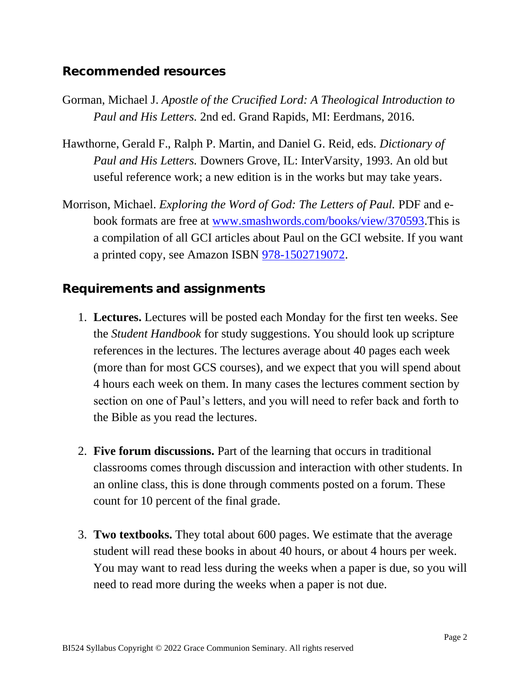### **Recommended resources**

- Gorman, Michael J. *Apostle of the Crucified Lord: A Theological Introduction to Paul and His Letters.* 2nd ed. Grand Rapids, MI: Eerdmans, 2016.
- Hawthorne, Gerald F., Ralph P. Martin, and Daniel G. Reid, eds. *Dictionary of Paul and His Letters.* Downers Grove, IL: InterVarsity, 1993. An old but useful reference work; a new edition is in the works but may take years.
- Morrison, Michael. *Exploring the Word of God: The Letters of Paul.* PDF and ebook formats are free at [www.smashwords.com/books/view/370593.](http://www.smashwords.com/books/view/370593)This is a compilation of all GCI articles about Paul on the GCI website. If you want a printed copy, see Amazon ISBN [978-1502719072.](https://www.amazon.com/Exploring-Word-God-Letters-Paul/dp/150271907X?keywords=150271907X&qid=1564682572&s=books&sr=1-1&linkCode=ll1&tag=spartakin-20&linkId=578ef96285af8dcce4e1cde87ab3e05c&language=en_US&ref_=as_li_ss_tl)

### **Requirements and assignments**

- 1. **Lectures.** Lectures will be posted each Monday for the first ten weeks. See the *Student Handbook* for study suggestions. You should look up scripture references in the lectures. The lectures average about 40 pages each week (more than for most GCS courses), and we expect that you will spend about 4 hours each week on them. In many cases the lectures comment section by section on one of Paul's letters, and you will need to refer back and forth to the Bible as you read the lectures.
- 2. **Five forum discussions.** Part of the learning that occurs in traditional classrooms comes through discussion and interaction with other students. In an online class, this is done through comments posted on a forum. These count for 10 percent of the final grade.
- 3. **Two textbooks.** They total about 600 pages. We estimate that the average student will read these books in about 40 hours, or about 4 hours per week. You may want to read less during the weeks when a paper is due, so you will need to read more during the weeks when a paper is not due.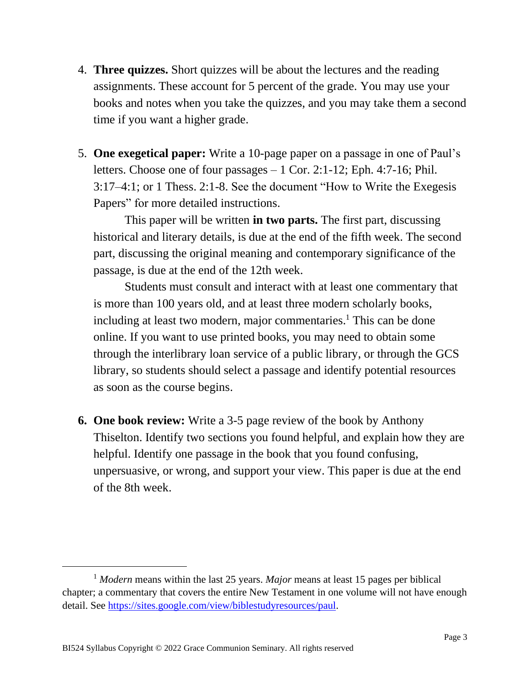- 4. **Three quizzes.** Short quizzes will be about the lectures and the reading assignments. These account for 5 percent of the grade. You may use your books and notes when you take the quizzes, and you may take them a second time if you want a higher grade.
- 5. **One exegetical paper:** Write a 10-page paper on a passage in one of Paul's letters. Choose one of four passages – 1 Cor. 2:1-12; Eph. 4:7-16; Phil. 3:17–4:1; or 1 Thess. 2:1-8. See the document "How to Write the Exegesis Papers" for more detailed instructions.

This paper will be written **in two parts.** The first part, discussing historical and literary details, is due at the end of the fifth week. The second part, discussing the original meaning and contemporary significance of the passage, is due at the end of the 12th week.

Students must consult and interact with at least one commentary that is more than 100 years old, and at least three modern scholarly books, including at least two modern, major commentaries. <sup>1</sup> This can be done online. If you want to use printed books, you may need to obtain some through the interlibrary loan service of a public library, or through the GCS library, so students should select a passage and identify potential resources as soon as the course begins.

**6. One book review:** Write a 3-5 page review of the book by Anthony Thiselton. Identify two sections you found helpful, and explain how they are helpful. Identify one passage in the book that you found confusing, unpersuasive, or wrong, and support your view. This paper is due at the end of the 8th week.

<sup>1</sup> *Modern* means within the last 25 years. *Major* means at least 15 pages per biblical chapter; a commentary that covers the entire New Testament in one volume will not have enough detail. See [https://sites.google.com/view/biblestudyresources/paul.](https://sites.google.com/view/biblestudyresources/paul)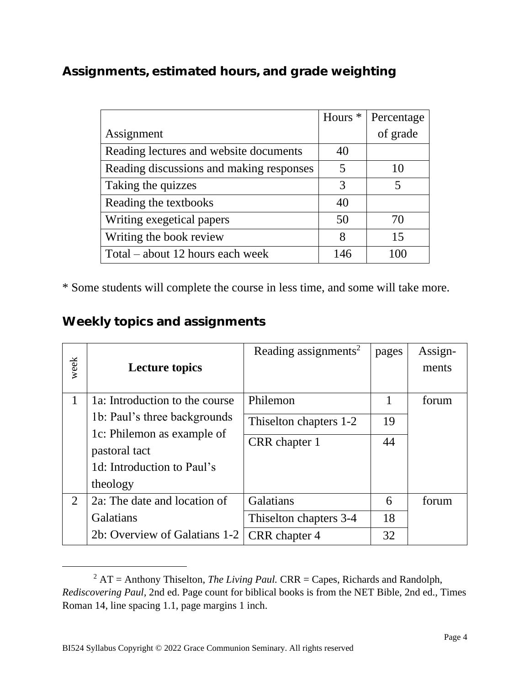**Assignments, estimated hours, and grade weighting** 

|                                          | Hours <sup>*</sup> | Percentage |
|------------------------------------------|--------------------|------------|
| Assignment                               |                    | of grade   |
| Reading lectures and website documents   | 40                 |            |
| Reading discussions and making responses | 5                  | 10         |
| Taking the quizzes                       | 3                  | 5          |
| Reading the textbooks                    | 40                 |            |
| Writing exegetical papers                | 50                 | 70         |
| Writing the book review                  | 8                  | 15         |
| Total – about 12 hours each week         | 146                | 100        |

\* Some students will complete the course in less time, and some will take more.

**Weekly topics and assignments**

| week | <b>Lecture topics</b>                       | Reading assignments <sup>2</sup> | pages | Assign-<br>ments |
|------|---------------------------------------------|----------------------------------|-------|------------------|
|      |                                             |                                  |       |                  |
| 1    | 1a: Introduction to the course              | Philemon                         |       | forum            |
|      | 1b: Paul's three backgrounds                | This elton chapters 1-2          | 19    |                  |
|      | 1c: Philemon as example of<br>pastoral tact | CRR chapter 1                    | 44    |                  |
|      | 1d: Introduction to Paul's                  |                                  |       |                  |
|      | theology                                    |                                  |       |                  |
| 2    | 2a: The date and location of                | Galatians                        | 6     | forum            |
|      | Galatians                                   | Thiselton chapters 3-4           | 18    |                  |
|      | 2b: Overview of Galatians 1-2               | CRR chapter 4                    | 32    |                  |

 $2^2$  AT = Anthony Thiselton, *The Living Paul.* CRR = Capes, Richards and Randolph, *Rediscovering Paul,* 2nd ed. Page count for biblical books is from the NET Bible, 2nd ed., Times Roman 14, line spacing 1.1, page margins 1 inch.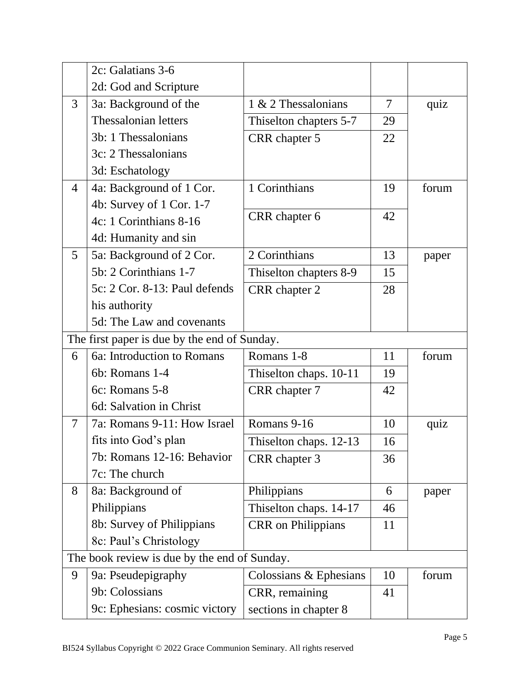|                                              | 2c: Galatians 3-6                            |                           |    |       |
|----------------------------------------------|----------------------------------------------|---------------------------|----|-------|
|                                              | 2d: God and Scripture                        |                           |    |       |
| 3                                            | 3a: Background of the                        | 1 & 2 Thessalonians       | 7  | quiz  |
|                                              | Thessalonian letters                         | Thiselton chapters 5-7    | 29 |       |
|                                              | 3b: 1 Thessalonians                          | CRR chapter 5             | 22 |       |
|                                              | 3c: 2 Thessalonians                          |                           |    |       |
|                                              | 3d: Eschatology                              |                           |    |       |
| 4                                            | 4a: Background of 1 Cor.                     | 1 Corinthians             | 19 | forum |
|                                              | 4b: Survey of 1 Cor. 1-7                     |                           |    |       |
|                                              | 4c: 1 Corinthians 8-16                       | CRR chapter 6             | 42 |       |
|                                              | 4d: Humanity and sin                         |                           |    |       |
| 5                                            | 5a: Background of 2 Cor.                     | 2 Corinthians             | 13 | paper |
|                                              | 5b: 2 Corinthians 1-7                        | Thiselton chapters 8-9    | 15 |       |
|                                              | 5c: 2 Cor. 8-13: Paul defends                | CRR chapter 2             | 28 |       |
|                                              | his authority                                |                           |    |       |
|                                              | 5d: The Law and covenants                    |                           |    |       |
|                                              | The first paper is due by the end of Sunday. |                           |    |       |
| 6                                            | 6a: Introduction to Romans                   | Romans 1-8                | 11 | forum |
|                                              | 6b: Romans 1-4                               | Thiselton chaps. 10-11    | 19 |       |
|                                              | 6c: Romans 5-8                               | CRR chapter 7             | 42 |       |
|                                              | 6d: Salvation in Christ                      |                           |    |       |
| $\overline{7}$                               | 7a: Romans 9-11: How Israel                  | Romans 9-16               | 10 | quiz  |
|                                              | fits into God's plan                         | Thiselton chaps. 12-13    | 16 |       |
|                                              | 7b: Romans 12-16: Behavior                   | CRR chapter 3             | 36 |       |
|                                              | 7c: The church                               |                           |    |       |
| 8                                            | 8a: Background of                            | Philippians               | 6  | paper |
|                                              | Philippians                                  | Thiselton chaps. 14-17    | 46 |       |
|                                              | 8b: Survey of Philippians                    | <b>CRR</b> on Philippians | 11 |       |
|                                              | 8c: Paul's Christology                       |                           |    |       |
| The book review is due by the end of Sunday. |                                              |                           |    |       |
| 9                                            | 9a: Pseudepigraphy                           | Colossians $&$ Ephesians  | 10 | forum |
|                                              | 9b: Colossians                               | CRR, remaining            | 41 |       |
|                                              | 9c: Ephesians: cosmic victory                | sections in chapter 8     |    |       |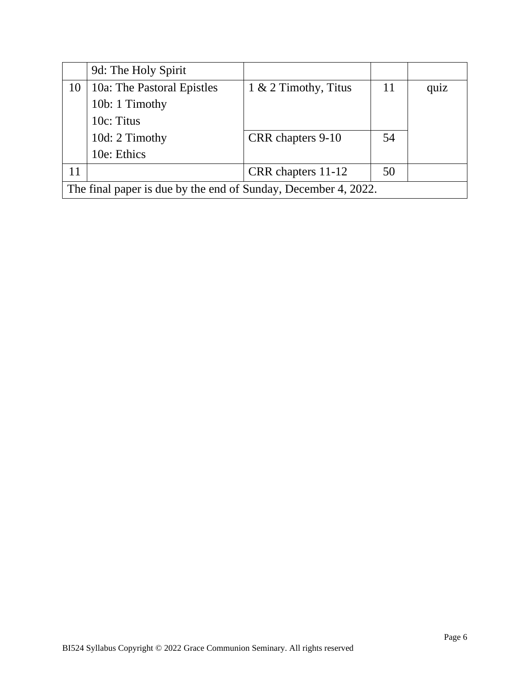|                                                                | 9d: The Holy Spirit        |                         |    |      |
|----------------------------------------------------------------|----------------------------|-------------------------|----|------|
| 10                                                             | 10a: The Pastoral Epistles | $1 \& 2$ Timothy, Titus | 11 | quiz |
|                                                                | 10b: 1 Timothy             |                         |    |      |
|                                                                | 10c: Titus                 |                         |    |      |
|                                                                | 10d: 2 Timothy             | CRR chapters 9-10       | 54 |      |
|                                                                | 10e: Ethics                |                         |    |      |
| 11                                                             |                            | CRR chapters 11-12      | 50 |      |
| The final paper is due by the end of Sunday, December 4, 2022. |                            |                         |    |      |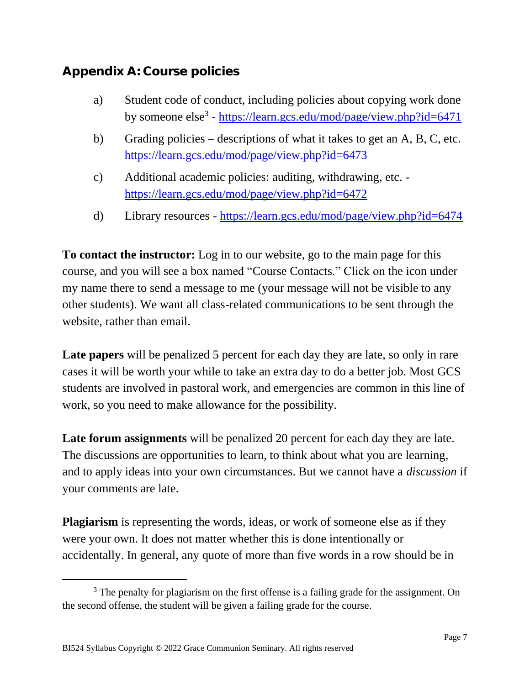## **Appendix A: Course policies**

- a) Student code of conduct, including policies about copying work done by someone else<sup>3</sup> - <https://learn.gcs.edu/mod/page/view.php?id=6471>
- b) Grading policies descriptions of what it takes to get an A, B, C, etc. <https://learn.gcs.edu/mod/page/view.php?id=6473>
- c) Additional academic policies: auditing, withdrawing, etc. <https://learn.gcs.edu/mod/page/view.php?id=6472>
- d) Library resources <https://learn.gcs.edu/mod/page/view.php?id=6474>

**To contact the instructor:** Log in to our website, go to the main page for this course, and you will see a box named "Course Contacts." Click on the icon under my name there to send a message to me (your message will not be visible to any other students). We want all class-related communications to be sent through the website, rather than email.

**Late papers** will be penalized 5 percent for each day they are late, so only in rare cases it will be worth your while to take an extra day to do a better job. Most GCS students are involved in pastoral work, and emergencies are common in this line of work, so you need to make allowance for the possibility.

**Late forum assignments** will be penalized 20 percent for each day they are late. The discussions are opportunities to learn, to think about what you are learning, and to apply ideas into your own circumstances. But we cannot have a *discussion* if your comments are late.

**Plagiarism** is representing the words, ideas, or work of someone else as if they were your own. It does not matter whether this is done intentionally or accidentally. In general, any quote of more than five words in a row should be in

<sup>&</sup>lt;sup>3</sup> The penalty for plagiarism on the first offense is a failing grade for the assignment. On the second offense, the student will be given a failing grade for the course.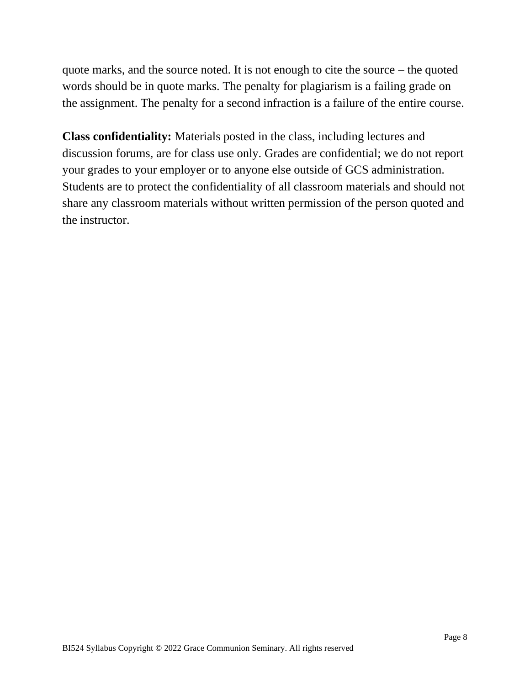quote marks, and the source noted. It is not enough to cite the source – the quoted words should be in quote marks. The penalty for plagiarism is a failing grade on the assignment. The penalty for a second infraction is a failure of the entire course.

**Class confidentiality:** Materials posted in the class, including lectures and discussion forums, are for class use only. Grades are confidential; we do not report your grades to your employer or to anyone else outside of GCS administration. Students are to protect the confidentiality of all classroom materials and should not share any classroom materials without written permission of the person quoted and the instructor.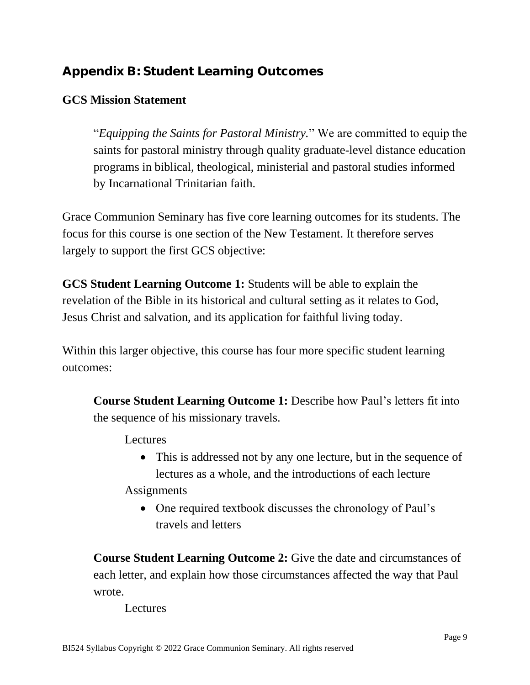# **Appendix B: Student Learning Outcomes**

### **GCS Mission Statement**

"*Equipping the Saints for Pastoral Ministry.*" We are committed to equip the saints for pastoral ministry through quality graduate-level distance education programs in biblical, theological, ministerial and pastoral studies informed by Incarnational Trinitarian faith.

Grace Communion Seminary has five core learning outcomes for its students. The focus for this course is one section of the New Testament. It therefore serves largely to support the first GCS objective:

**GCS Student Learning Outcome 1:** Students will be able to explain the revelation of the Bible in its historical and cultural setting as it relates to God, Jesus Christ and salvation, and its application for faithful living today.

Within this larger objective, this course has four more specific student learning outcomes:

**Course Student Learning Outcome 1:** Describe how Paul's letters fit into the sequence of his missionary travels.

Lectures

• This is addressed not by any one lecture, but in the sequence of lectures as a whole, and the introductions of each lecture

**Assignments** 

• One required textbook discusses the chronology of Paul's travels and letters

**Course Student Learning Outcome 2:** Give the date and circumstances of each letter, and explain how those circumstances affected the way that Paul wrote.

Lectures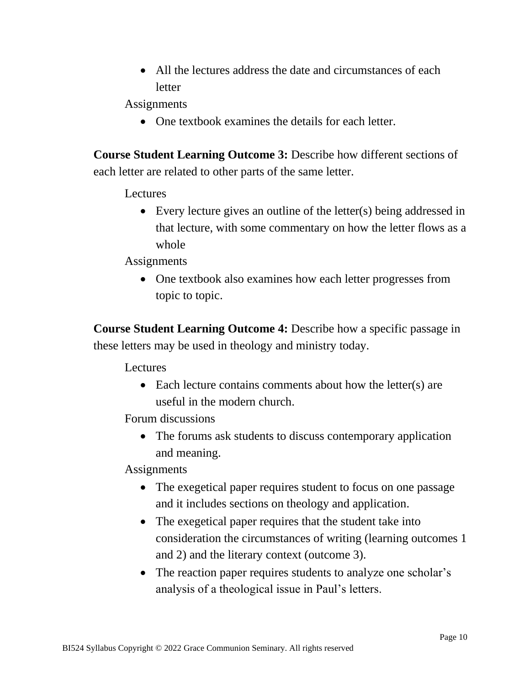• All the lectures address the date and circumstances of each letter

**Assignments** 

• One textbook examines the details for each letter.

**Course Student Learning Outcome 3:** Describe how different sections of each letter are related to other parts of the same letter.

Lectures

• Every lecture gives an outline of the letter(s) being addressed in that lecture, with some commentary on how the letter flows as a whole

**Assignments** 

• One textbook also examines how each letter progresses from topic to topic.

**Course Student Learning Outcome 4:** Describe how a specific passage in these letters may be used in theology and ministry today.

Lectures

• Each lecture contains comments about how the letter(s) are useful in the modern church.

Forum discussions

• The forums ask students to discuss contemporary application and meaning.

**Assignments** 

- The exegetical paper requires student to focus on one passage and it includes sections on theology and application.
- The exegetical paper requires that the student take into consideration the circumstances of writing (learning outcomes 1 and 2) and the literary context (outcome 3).
- The reaction paper requires students to analyze one scholar's analysis of a theological issue in Paul's letters.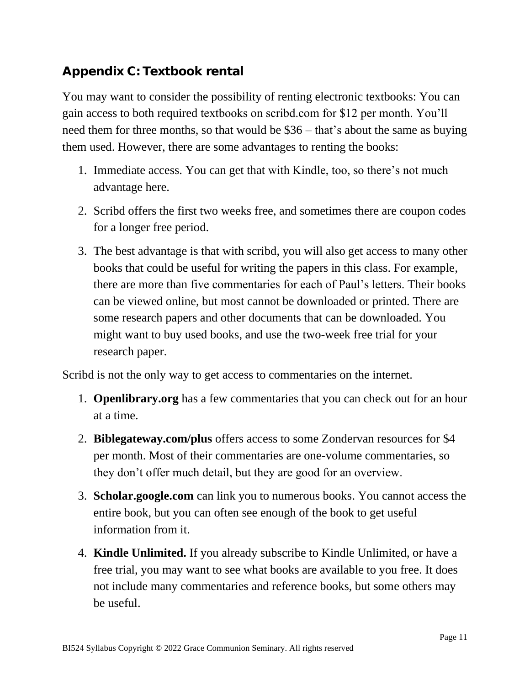## **Appendix C: Textbook rental**

You may want to consider the possibility of renting electronic textbooks: You can gain access to both required textbooks on scribd.com for \$12 per month. You'll need them for three months, so that would be \$36 – that's about the same as buying them used. However, there are some advantages to renting the books:

- 1. Immediate access. You can get that with Kindle, too, so there's not much advantage here.
- 2. Scribd offers the first two weeks free, and sometimes there are coupon codes for a longer free period.
- 3. The best advantage is that with scribd, you will also get access to many other books that could be useful for writing the papers in this class. For example, there are more than five commentaries for each of Paul's letters. Their books can be viewed online, but most cannot be downloaded or printed. There are some research papers and other documents that can be downloaded. You might want to buy used books, and use the two-week free trial for your research paper.

Scribd is not the only way to get access to commentaries on the internet.

- 1. **Openlibrary.org** has a few commentaries that you can check out for an hour at a time.
- 2. **Biblegateway.com/plus** offers access to some Zondervan resources for \$4 per month. Most of their commentaries are one-volume commentaries, so they don't offer much detail, but they are good for an overview.
- 3. **Scholar.google.com** can link you to numerous books. You cannot access the entire book, but you can often see enough of the book to get useful information from it.
- 4. **Kindle Unlimited.** If you already subscribe to Kindle Unlimited, or have a free trial, you may want to see what books are available to you free. It does not include many commentaries and reference books, but some others may be useful.